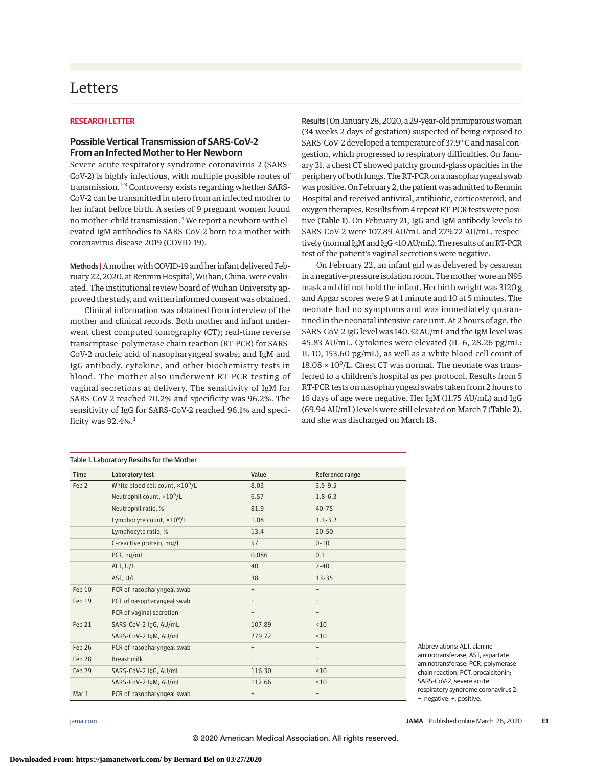## **Letters**

## **RESEARCH LETTER**

## **Possible Vertical Transmission of SARS-CoV-2 From an Infected Mother to Her Newborn**

Severe acute respiratory syndrome coronavirus 2 (SARS-CoV-2) is highly infectious, with multiple possible routes of transmission.<sup>1-3</sup> Controversy exists regarding whether SARS-CoV-2 can be transmitted in utero from an infected mother to her infant before birth. A series of 9 pregnant women found no mother-child transmission.<sup>4</sup> We report a newborn with elevated IgM antibodies to SARS-CoV-2 born to a mother with coronavirus disease 2019 (COVID-19).

Methods | A mother with COVID-19 and her infant delivered February 22, 2020, at Renmin Hospital, Wuhan, China, were evaluated. The institutional review board of Wuhan University approved the study, and written informed consent was obtained.

Clinical information was obtained from interview of the mother and clinical records. Both mother and infant underwent chest computed tomography (CT); real-time reverse transcriptase–polymerase chain reaction (RT-PCR) for SARS-CoV-2 nucleic acid of nasopharyngeal swabs; and IgM and IgG antibody, cytokine, and other biochemistry tests in blood. The mother also underwent RT-PCR testing of vaginal secretions at delivery. The sensitivity of IgM for SARS-CoV-2 reached 70.2% and specificity was 96.2%. The sensitivity of IgG for SARS-CoV-2 reached 96.1% and specificity was 92.4%.<sup>3</sup>

Results | On January 28, 2020, a 29-year-old primiparous woman (34 weeks 2 days of gestation) suspected of being exposed to SARS-CoV-2 developed a temperature of 37.9° C and nasal congestion, which progressed to respiratory difficulties. On January 31, a chest CT showed patchy ground-glass opacities in the periphery of both lungs. The RT-PCR on a nasopharyngeal swab was positive. On February 2, the patient was admitted to Renmin Hospital and received antiviral, antibiotic, corticosteroid, and oxygen therapies. Results from 4 repeat RT-PCR testswere positive (Table 1). On February 21, IgG and IgM antibody levels to SARS-CoV-2 were 107.89 AU/mL and 279.72 AU/mL, respectively (normal IgM and IgG < 10 AU/mL). The results of an RT-PCR test of the patient's vaginal secretions were negative.

On February 22, an infant girl was delivered by cesarean in a negative-pressure isolation room. Themother wore an N95 mask and did not hold the infant. Her birth weight was 3120 g and Apgar scores were 9 at 1 minute and 10 at 5 minutes. The neonate had no symptoms and was immediately quarantined in the neonatal intensive care unit. At 2 hours of age, the SARS-CoV-2 IgG level was 140.32 AU/mL and the IgM level was 45.83 AU/mL. Cytokines were elevated (IL-6, 28.26 pg/mL; IL-10, 153.60 pg/mL), as well as a white blood cell count of  $18.08 \times 10^9$ /L. Chest CT was normal. The neonate was transferred to a children's hospital as per protocol. Results from 5 RT-PCR tests on nasopharyngeal swabs taken from 2 hours to 16 days of age were negative. Her IgM (11.75 AU/mL) and IgG (69.94 AU/mL) levels were still elevated on March 7 (Table 2), and she was discharged on March 18.

| <b>Time</b>      | Laboratory test                          | Value     | Reference range |
|------------------|------------------------------------------|-----------|-----------------|
| Feb <sub>2</sub> | White blood cell count, $\times 10^9$ /L | 8.03      | $3.5 - 9.5$     |
|                  | Neutrophil count, ×10 <sup>9</sup> /L    | 6.57      | $1.8 - 6.3$     |
|                  | Neutrophil ratio, %                      | 81.9      | $40 - 75$       |
|                  | Lymphocyte count, $\times 10^9$ /L       | 1.08      | $1.1 - 3.2$     |
|                  | Lymphocyte ratio, %                      | 13.4      | $20 - 50$       |
|                  | C-reactive protein, mg/L                 | 57        | $0 - 10$        |
|                  | PCT, ng/mL                               | 0.086     | 0.1             |
|                  | ALT, U/L                                 | 40        | $7 - 40$        |
|                  | AST, U/L                                 | 38        | $13 - 35$       |
| Feb 10           | PCR of nasopharyngeal swab               | $+$       |                 |
| Feb 19           | PCT of nasopharyngeal swab               | $\ddot{}$ |                 |
|                  | PCR of vaginal secretion                 |           | -               |
| Feb 21           | SARS-CoV-2 IgG, AU/mL                    | 107.89    | ~10             |
|                  | SARS-CoV-2 IgM, AU/mL                    | 279.72    | ~10             |
| Feb 26           | PCR of nasopharyngeal swab               | $\ddot{}$ | -               |
| Feb 28           | <b>Breast milk</b>                       |           | -               |
| Feb 29           | SARS-CoV-2 IgG, AU/mL                    | 116.30    | ~10             |
|                  | SARS-CoV-2 IgM, AU/mL                    | 112.66    | ~10             |
| Mar 1            | PCR of nasopharyngeal swab               | $\ddot{}$ | -               |

Abbreviations: ALT, alanine aminotransferase; AST, aspartate aminotransferase; PCR, polymerase chain reaction, PCT, procalcitonin; SARS-CoV-2, severe acute respiratory syndrome coronavirus 2; −, negative; +, positive.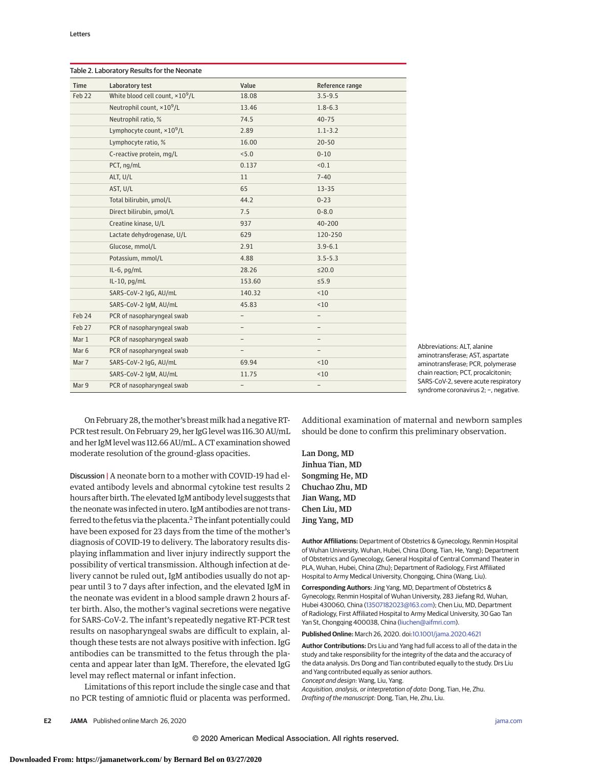| Time   | Laboratory test                          | Value                    | Reference range          |
|--------|------------------------------------------|--------------------------|--------------------------|
| Feb 22 | White blood cell count, $\times 10^9$ /L | 18.08                    | $3.5 - 9.5$              |
|        | Neutrophil count, ×10 <sup>9</sup> /L    | 13.46                    | $1.8 - 6.3$              |
|        | Neutrophil ratio, %                      | 74.5                     | $40 - 75$                |
|        | Lymphocyte count, ×10 <sup>9</sup> /L    | 2.89                     | $1.1 - 3.2$              |
|        | Lymphocyte ratio, %                      | 16.00                    | $20 - 50$                |
|        | C-reactive protein, mg/L                 | < 5.0                    | $0 - 10$                 |
|        | PCT, ng/mL                               | 0.137                    | < 0.1                    |
|        | ALT, U/L                                 | 11                       | $7 - 40$                 |
|        | AST, U/L                                 | 65                       | $13 - 35$                |
|        | Total bilirubin, µmol/L                  | 44.2                     | $0 - 23$                 |
|        | Direct bilirubin, µmol/L                 | 7.5                      | $0 - 8.0$                |
|        | Creatine kinase, U/L                     | 937                      | 40-200                   |
|        | Lactate dehydrogenase, U/L               | 629                      | 120-250                  |
|        | Glucose, mmol/L                          | 2.91                     | $3.9 - 6.1$              |
|        | Potassium, mmol/L                        | 4.88                     | $3.5 - 5.3$              |
|        | IL-6, $pg/mL$                            | 28.26                    | $\leq$ 20.0              |
|        | $IL-10$ , pg/mL                          | 153.60                   | $\leq 5.9$               |
|        | SARS-CoV-2 IgG, AU/mL                    | 140.32                   | < 10                     |
|        | SARS-CoV-2 IgM, AU/mL                    | 45.83                    | ~10                      |
| Feb 24 | PCR of nasopharyngeal swab               | $\qquad \qquad -$        | $\overline{\phantom{0}}$ |
| Feb 27 | PCR of nasopharyngeal swab               | $\qquad \qquad -$        | $\overline{\phantom{0}}$ |
| Mar 1  | PCR of nasopharyngeal swab               | $\overline{\phantom{0}}$ |                          |
| Mar 6  | PCR of nasopharyngeal swab               | -                        |                          |
| Mar 7  | SARS-CoV-2 IgG, AU/mL                    | 69.94                    | ~10                      |
|        | SARS-CoV-2 IgM, AU/mL                    | 11.75                    | < 10                     |
| Mar 9  | PCR of nasopharyngeal swab               | $\qquad \qquad -$        | -                        |

Abbreviations: ALT, alanine aminotransferase; AST, aspartate aminotransferase; PCR, polymerase chain reaction; PCT, procalcitonin; SARS-CoV-2, severe acute respiratory syndrome coronavirus 2; -, negative.

On February 28, themother's breastmilk had a negativeRT-PCR test result. On February 29, her IgG level was 116.30 AU/mL and her IgM level was 112.66 AU/mL. A CT examination showed moderate resolution of the ground-glass opacities.

Discussion | A neonate born to a mother with COVID-19 had elevated antibody levels and abnormal cytokine test results 2 hours after birth. The elevated IgM antibody level suggests that the neonate was infected in utero. IgM antibodies are not transferred to the fetus via the placenta.<sup>2</sup> The infant potentially could have been exposed for 23 days from the time of the mother's diagnosis of COVID-19 to delivery. The laboratory results displaying inflammation and liver injury indirectly support the possibility of vertical transmission. Although infection at delivery cannot be ruled out, IgM antibodies usually do not appear until 3 to 7 days after infection, and the elevated IgM in the neonate was evident in a blood sample drawn 2 hours after birth. Also, the mother's vaginal secretions were negative for SARS-CoV-2. The infant's repeatedly negative RT-PCR test results on nasopharyngeal swabs are difficult to explain, although these tests are not always positive with infection. IgG antibodies can be transmitted to the fetus through the placenta and appear later than IgM. Therefore, the elevated IgG level may reflect maternal or infant infection.

Limitations of this report include the single case and that no PCR testing of amniotic fluid or placenta was performed.

Additional examination of maternal and newborn samples should be done to confirm this preliminary observation.

Lan Dong, MD Jinhua Tian, MD Songming He, MD Chuchao Zhu, MD Jian Wang, MD Chen Liu, MD Jing Yang, MD

**Author Affiliations:** Department of Obstetrics & Gynecology, Renmin Hospital of Wuhan University, Wuhan, Hubei, China (Dong, Tian, He, Yang); Department of Obstetrics and Gynecology, General Hospital of Central Command Theater in PLA, Wuhan, Hubei, China (Zhu); Department of Radiology, First Affiliated Hospital to Army Medical University, Chongqing, China (Wang, Liu).

**Corresponding Authors:** Jing Yang, MD, Department of Obstetrics & Gynecology, Renmin Hospital of Wuhan University, 283 Jiefang Rd, Wuhan, Hubei 430060, China [\(13507182023@163.com\)](mailto:13507182023@163.com); Chen Liu, MD, Department of Radiology, First Affiliated Hospital to Army Medical University, 30 Gao Tan Yan St, Chongqing 400038, China [\(liuchen@aifmri.com\)](mailto:liuchen@aifmri.com).

**Published Online:** March 26, 2020. doi[:10.1001/jama.2020.4621](https://jamanetwork.com/journals/jama/fullarticle/10.1001/jama.2020.4621?utm_campaign=articlePDF%26utm_medium=articlePDFlink%26utm_source=articlePDF%26utm_content=jama.2020.4621)

**Author Contributions:** Drs Liu and Yang had full access to all of the data in the study and take responsibility for the integrity of the data and the accuracy of the data analysis. Drs Dong and Tian contributed equally to the study. Drs Liu and Yang contributed equally as senior authors.

Concept and design: Wang, Liu, Yang. Acquisition, analysis, or interpretation of data: Dong, Tian, He, Zhu.

Drafting of the manuscript: Dong, Tian, He, Zhu, Liu.